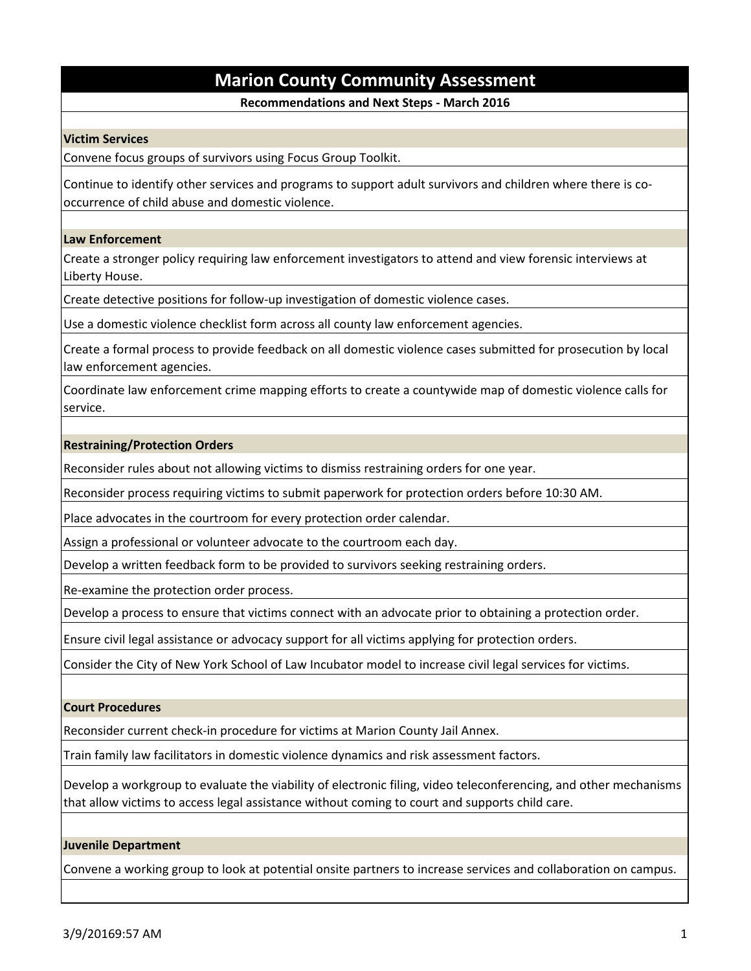# **Marion County Community Assessment**

# **Recommendations and Next Steps - March 2016**

## **Victim Services**

Convene focus groups of survivors using Focus Group Toolkit.

Continue to identify other services and programs to support adult survivors and children where there is cooccurrence of child abuse and domestic violence.

## **Law Enforcement**

Create a stronger policy requiring law enforcement investigators to attend and view forensic interviews at Liberty House.

Create detective positions for follow-up investigation of domestic violence cases.

Use a domestic violence checklist form across all county law enforcement agencies.

Create a formal process to provide feedback on all domestic violence cases submitted for prosecution by local law enforcement agencies.

Coordinate law enforcement crime mapping efforts to create a countywide map of domestic violence calls for service.

### **Restraining/Protection Orders**

Reconsider rules about not allowing victims to dismiss restraining orders for one year.

Reconsider process requiring victims to submit paperwork for protection orders before 10:30 AM.

Place advocates in the courtroom for every protection order calendar.

Assign a professional or volunteer advocate to the courtroom each day.

Develop a written feedback form to be provided to survivors seeking restraining orders.

Re-examine the protection order process.

Develop a process to ensure that victims connect with an advocate prior to obtaining a protection order.

Ensure civil legal assistance or advocacy support for all victims applying for protection orders.

Consider the City of New York School of Law Incubator model to increase civil legal services for victims.

## **Court Procedures**

Reconsider current check-in procedure for victims at Marion County Jail Annex.

Train family law facilitators in domestic violence dynamics and risk assessment factors.

Develop a workgroup to evaluate the viability of electronic filing, video teleconferencing, and other mechanisms that allow victims to access legal assistance without coming to court and supports child care.

#### **Juvenile Department**

Convene a working group to look at potential onsite partners to increase services and collaboration on campus.